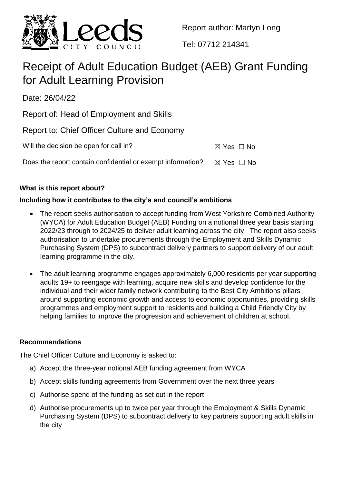

Report author: Martyn Long

Tel: 07712 214341

# Receipt of Adult Education Budget (AEB) Grant Funding for Adult Learning Provision

Date: 26/04/22

Report of: Head of Employment and Skills

Report to: Chief Officer Culture and Economy

| Will the decision be open for call in?                      | $\boxtimes$ Yes $\Box$ No |
|-------------------------------------------------------------|---------------------------|
| Does the report contain confidential or exempt information? | $\boxtimes$ Yes $\Box$ No |

## **What is this report about?**

# **Including how it contributes to the city's and council's ambitions**

- The report seeks authorisation to accept funding from West Yorkshire Combined Authority (WYCA) for Adult Education Budget (AEB) Funding on a notional three year basis starting 2022/23 through to 2024/25 to deliver adult learning across the city. The report also seeks authorisation to undertake procurements through the Employment and Skills Dynamic Purchasing System (DPS) to subcontract delivery partners to support delivery of our adult learning programme in the city.
- The adult learning programme engages approximately 6,000 residents per year supporting adults 19+ to reengage with learning, acquire new skills and develop confidence for the individual and their wider family network contributing to the Best City Ambitions pillars around supporting economic growth and access to economic opportunities, providing skills programmes and employment support to residents and building a Child Friendly City by helping families to improve the progression and achievement of children at school.

#### **Recommendations**

The Chief Officer Culture and Economy is asked to:

- a) Accept the three-year notional AEB funding agreement from WYCA
- b) Accept skills funding agreements from Government over the next three years
- c) Authorise spend of the funding as set out in the report
- d) Authorise procurements up to twice per year through the Employment & Skills Dynamic Purchasing System (DPS) to subcontract delivery to key partners supporting adult skills in the city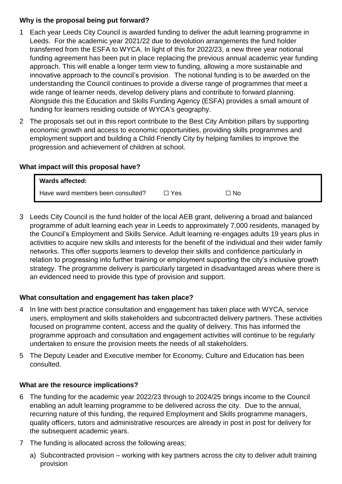## **Why is the proposal being put forward?**

- 1 Each year Leeds City Council is awarded funding to deliver the adult learning programme in Leeds. For the academic year 2021/22 due to devolution arrangements the fund holder transferred from the ESFA to WYCA. In light of this for 2022/23, a new three year notional funding agreement has been put in place replacing the previous annual academic year funding approach. This will enable a longer term view to funding, allowing a more sustainable and innovative approach to the council's provision. The notional funding is to be awarded on the understanding the Council continues to provide a diverse range of programmes that meet a wide range of learner needs, develop delivery plans and contribute to forward planning. Alongside this the Education and Skills Funding Agency (ESFA) provides a small amount of funding for learners residing outside of WYCA's geography.
- 2 The proposals set out in this report contribute to the Best City Ambition pillars by supporting economic growth and access to economic opportunities, providing skills programmes and employment support and building a Child Friendly City by helping families to improve the progression and achievement of children at school.

## **What impact will this proposal have?**

| <b>Wards affected:</b>            |       |      |  |
|-----------------------------------|-------|------|--|
| Have ward members been consulted? | □ Yes | No ⊡ |  |

3 Leeds City Council is the fund holder of the local AEB grant, delivering a broad and balanced programme of adult learning each year in Leeds to approximately 7,000 residents, managed by the Council's Employment and Skills Service. Adult learning re-engages adults 19 years plus in activities to acquire new skills and interests for the benefit of the individual and their wider family networks. This offer supports learners to develop their skills and confidence particularly in relation to progressing into further training or employment supporting the city's inclusive growth strategy. The programme delivery is particularly targeted in disadvantaged areas where there is an evidenced need to provide this type of provision and support.

## **What consultation and engagement has taken place?**

- 4 In line with best practice consultation and engagement has taken place with WYCA, service users, employment and skills stakeholders and subcontracted delivery partners. These activities focused on programme content, access and the quality of delivery. This has informed the programme approach and consultation and engagement activities will continue to be regularly undertaken to ensure the provision meets the needs of all stakeholders.
- 5 The Deputy Leader and Executive member for Economy, Culture and Education has been consulted.

#### **What are the resource implications?**

- 6 The funding for the academic year 2022/23 through to 2024/25 brings income to the Council enabling an adult learning programme to be delivered across the city. Due to the annual, recurring nature of this funding, the required Employment and Skills programme managers, quality officers, tutors and administrative resources are already in post in post for delivery for the subsequent academic years.
- 7 The funding is allocated across the following areas;
	- a) Subcontracted provision working with key partners across the city to deliver adult training provision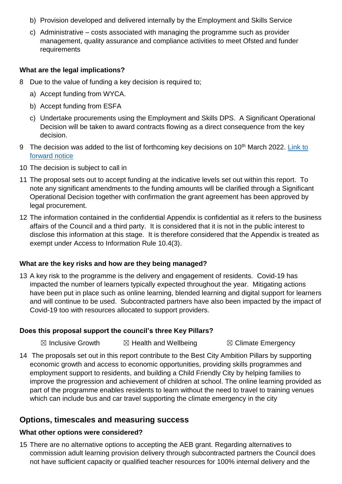- b) Provision developed and delivered internally by the Employment and Skills Service
- c) Administrative costs associated with managing the programme such as provider management, quality assurance and compliance activities to meet Ofsted and funder requirements

#### **What are the legal implications?**

- 8 Due to the value of funding a key decision is required to;
	- a) Accept funding from WYCA.
	- b) Accept funding from ESFA
	- c) Undertake procurements using the Employment and Skills DPS. A Significant Operational Decision will be taken to award contracts flowing as a direct consequence from the key decision.
- 9 The decision was added to the list of forthcoming key decisions on 10<sup>th</sup> March 2022. Link to [forward notice](https://democracy.leeds.gov.uk/mgIssueHistoryHome.aspx?IssueId=121282&OptionNum=0&)
- 10 The decision is subject to call in
- 11 The proposal sets out to accept funding at the indicative levels set out within this report. To note any significant amendments to the funding amounts will be clarified through a Significant Operational Decision together with confirmation the grant agreement has been approved by legal procurement.
- 12 The information contained in the confidential Appendix is confidential as it refers to the business affairs of the Council and a third party. It is considered that it is not in the public interest to disclose this information at this stage. It is therefore considered that the Appendix is treated as exempt under Access to Information Rule 10.4(3).

#### **What are the key risks and how are they being managed?**

13 A key risk to the programme is the delivery and engagement of residents. Covid-19 has impacted the number of learners typically expected throughout the year. Mitigating actions have been put in place such as online learning, blended learning and digital support for learners and will continue to be used. Subcontracted partners have also been impacted by the impact of Covid-19 too with resources allocated to support providers.

#### **Does this proposal support the council's three Key Pillars?**

 $\boxtimes$  Inclusive Growth  $\boxtimes$  Health and Wellbeing  $\boxtimes$  Climate Emergency

14 The proposals set out in this report contribute to the Best City Ambition Pillars by supporting economic growth and access to economic opportunities, providing skills programmes and employment support to residents, and building a Child Friendly City by helping families to improve the progression and achievement of children at school. The online learning provided as part of the programme enables residents to learn without the need to travel to training venues which can include bus and car travel supporting the climate emergency in the city

# **Options, timescales and measuring success**

#### **What other options were considered?**

15 There are no alternative options to accepting the AEB grant. Regarding alternatives to commission adult learning provision delivery through subcontracted partners the Council does not have sufficient capacity or qualified teacher resources for 100% internal delivery and the